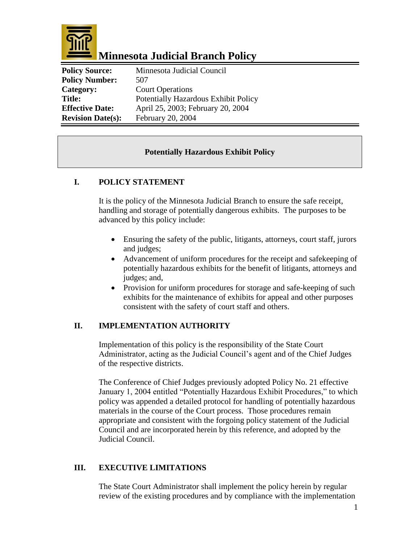

### **Minnesota Judicial Branch Policy**

| <b>Policy Source:</b>    | Minnesota Judicial Council           |
|--------------------------|--------------------------------------|
| <b>Policy Number:</b>    | 507                                  |
| Category:                | <b>Court Operations</b>              |
| <b>Title:</b>            | Potentially Hazardous Exhibit Policy |
| <b>Effective Date:</b>   | April 25, 2003; February 20, 2004    |
| <b>Revision Date(s):</b> | February 20, 2004                    |

#### **Potentially Hazardous Exhibit Policy**

#### **I. POLICY STATEMENT**

It is the policy of the Minnesota Judicial Branch to ensure the safe receipt, handling and storage of potentially dangerous exhibits. The purposes to be advanced by this policy include:

- Ensuring the safety of the public, litigants, attorneys, court staff, jurors and judges;
- Advancement of uniform procedures for the receipt and safekeeping of potentially hazardous exhibits for the benefit of litigants, attorneys and judges; and,
- Provision for uniform procedures for storage and safe-keeping of such exhibits for the maintenance of exhibits for appeal and other purposes consistent with the safety of court staff and others.

#### **II. IMPLEMENTATION AUTHORITY**

Implementation of this policy is the responsibility of the State Court Administrator, acting as the Judicial Council's agent and of the Chief Judges of the respective districts.

The Conference of Chief Judges previously adopted Policy No. 21 effective January 1, 2004 entitled "Potentially Hazardous Exhibit Procedures," to which policy was appended a detailed protocol for handling of potentially hazardous materials in the course of the Court process. Those procedures remain appropriate and consistent with the forgoing policy statement of the Judicial Council and are incorporated herein by this reference, and adopted by the Judicial Council.

#### **III. EXECUTIVE LIMITATIONS**

The State Court Administrator shall implement the policy herein by regular review of the existing procedures and by compliance with the implementation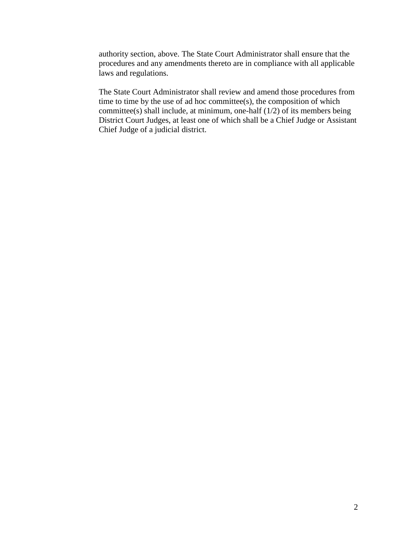authority section, above. The State Court Administrator shall ensure that the procedures and any amendments thereto are in compliance with all applicable laws and regulations.

The State Court Administrator shall review and amend those procedures from time to time by the use of ad hoc committee(s), the composition of which committee(s) shall include, at minimum, one-half  $(1/2)$  of its members being District Court Judges, at least one of which shall be a Chief Judge or Assistant Chief Judge of a judicial district.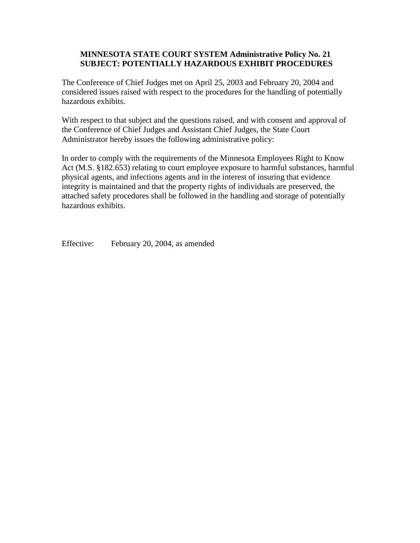#### **MINNESOTA STATE COURT SYSTEM Administrative Policy No. 21 SUBJECT: POTENTIALLY HAZARDOUS EXHIBIT PROCEDURES**

The Conference of Chief Judges met on April 25, 2003 and February 20, 2004 and considered issues raised with respect to the procedures for the handling of potentially hazardous exhibits.

With respect to that subject and the questions raised, and with consent and approval of the Conference of Chief Judges and Assistant Chief Judges, the State Court Administrator hereby issues the following administrative policy:

In order to comply with the requirements of the Minnesota Employees Right to Know Act (M.S. §182.653) relating to court employee exposure to harmful substances, harmful physical agents, and infections agents and in the interest of insuring that evidence integrity is maintained and that the property rights of individuals are preserved, the attached safety procedures shall be followed in the handling and storage of potentially hazardous exhibits.

Effective: February 20, 2004, as amended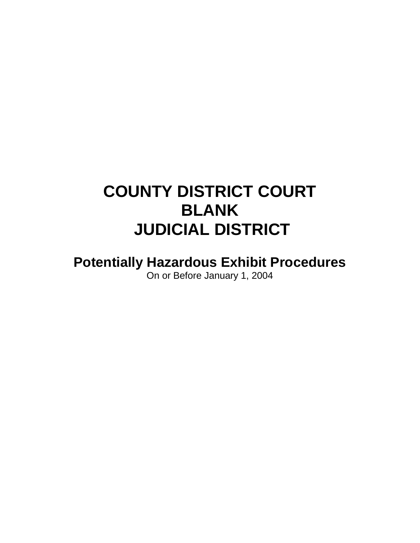# **COUNTY DISTRICT COURT BLANK JUDICIAL DISTRICT**

**Potentially Hazardous Exhibit Procedures** On or Before January 1, 2004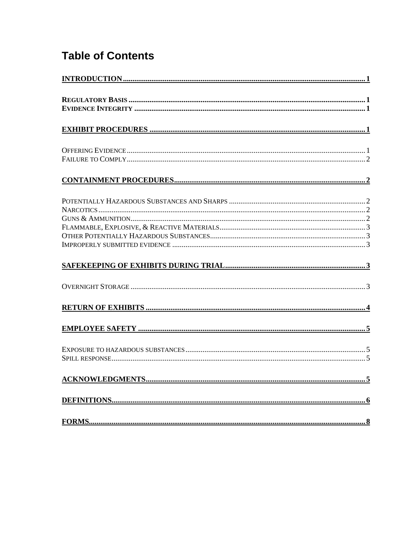### **Table of Contents**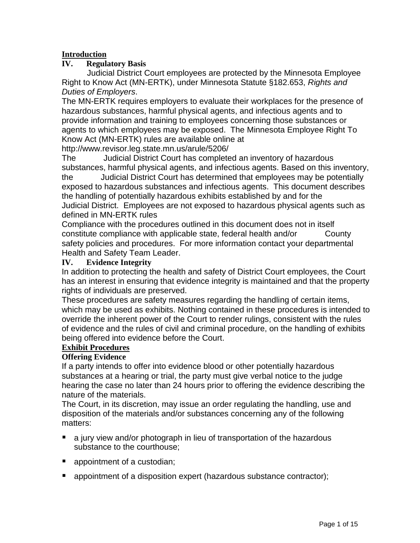#### **Introduction**

#### **IV. Regulatory Basis**

Judicial District Court employees are protected by the Minnesota Employee Right to Know Act (MN-ERTK), under Minnesota Statute §182.653, *Rights and Duties of Employers*.

The MN-ERTK requires employers to evaluate their workplaces for the presence of hazardous substances, harmful physical agents, and infectious agents and to provide information and training to employees concerning those substances or agents to which employees may be exposed. The Minnesota Employee Right To Know Act (MN-ERTK) rules are available online at

http://www.revisor.leg.state.mn.us/arule/5206/

The Judicial District Court has completed an inventory of hazardous substances, harmful physical agents, and infectious agents. Based on this inventory, the Judicial District Court has determined that employees may be potentially exposed to hazardous substances and infectious agents. This document describes the handling of potentially hazardous exhibits established by and for the Judicial District. Employees are not exposed to hazardous physical agents such as defined in MN-ERTK rules

Compliance with the procedures outlined in this document does not in itself constitute compliance with applicable state, federal health and/or County safety policies and procedures. For more information contact your departmental Health and Safety Team Leader.

#### **IV. Evidence Integrity**

In addition to protecting the health and safety of District Court employees, the Court has an interest in ensuring that evidence integrity is maintained and that the property rights of individuals are preserved.

These procedures are safety measures regarding the handling of certain items, which may be used as exhibits. Nothing contained in these procedures is intended to override the inherent power of the Court to render rulings, consistent with the rules of evidence and the rules of civil and criminal procedure, on the handling of exhibits being offered into evidence before the Court.

#### **Exhibit Procedures**

#### **Offering Evidence**

If a party intends to offer into evidence blood or other potentially hazardous substances at a hearing or trial, the party must give verbal notice to the judge hearing the case no later than 24 hours prior to offering the evidence describing the nature of the materials.

The Court, in its discretion, may issue an order regulating the handling, use and disposition of the materials and/or substances concerning any of the following matters:

- a jury view and/or photograph in lieu of transportation of the hazardous substance to the courthouse;
- **a** appointment of a custodian;
- **E** appointment of a disposition expert (hazardous substance contractor);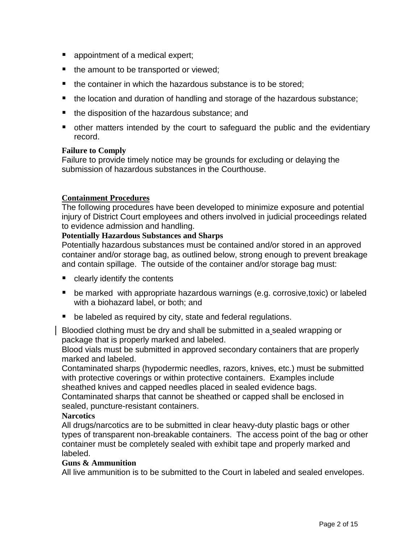- **a** appointment of a medical expert;
- $\blacksquare$  the amount to be transported or viewed;
- the container in which the hazardous substance is to be stored;
- the location and duration of handling and storage of the hazardous substance;
- the disposition of the hazardous substance; and
- other matters intended by the court to safeguard the public and the evidentiary record.

#### **Failure to Comply**

Failure to provide timely notice may be grounds for excluding or delaying the submission of hazardous substances in the Courthouse.

#### **Containment Procedures**

The following procedures have been developed to minimize exposure and potential injury of District Court employees and others involved in judicial proceedings related to evidence admission and handling.

#### **Potentially Hazardous Substances and Sharps**

Potentially hazardous substances must be contained and/or stored in an approved container and/or storage bag, as outlined below, strong enough to prevent breakage and contain spillage. The outside of the container and/or storage bag must:

- **E** clearly identify the contents
- be marked with appropriate hazardous warnings (e.g. corrosive, toxic) or labeled with a biohazard label, or both; and
- be labeled as required by city, state and federal regulations.

Bloodied clothing must be dry and shall be submitted in a sealed wrapping or package that is properly marked and labeled.

Blood vials must be submitted in approved secondary containers that are properly marked and labeled.

Contaminated sharps (hypodermic needles, razors, knives, etc.) must be submitted with protective coverings or within protective containers. Examples include sheathed knives and capped needles placed in sealed evidence bags. Contaminated sharps that cannot be sheathed or capped shall be enclosed in

sealed, puncture-resistant containers.

#### **Narcotics**

All drugs/narcotics are to be submitted in clear heavy-duty plastic bags or other types of transparent non-breakable containers. The access point of the bag or other container must be completely sealed with exhibit tape and properly marked and labeled.

#### **Guns & Ammunition**

All live ammunition is to be submitted to the Court in labeled and sealed envelopes.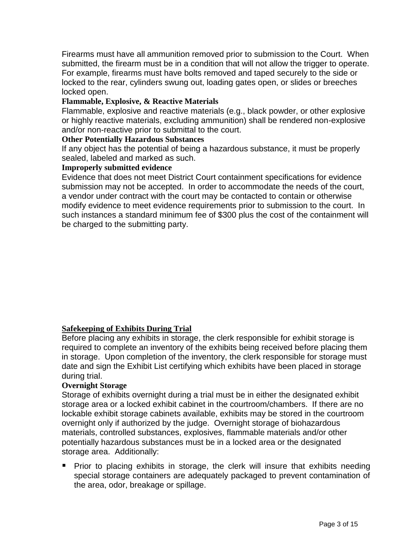Firearms must have all ammunition removed prior to submission to the Court. When submitted, the firearm must be in a condition that will not allow the trigger to operate. For example, firearms must have bolts removed and taped securely to the side or locked to the rear, cylinders swung out, loading gates open, or slides or breeches locked open.

#### **Flammable, Explosive, & Reactive Materials**

Flammable, explosive and reactive materials (e.g., black powder, or other explosive or highly reactive materials, excluding ammunition) shall be rendered non-explosive and/or non-reactive prior to submittal to the court.

#### **Other Potentially Hazardous Substances**

If any object has the potential of being a hazardous substance, it must be properly sealed, labeled and marked as such.

#### **Improperly submitted evidence**

Evidence that does not meet District Court containment specifications for evidence submission may not be accepted. In order to accommodate the needs of the court, a vendor under contract with the court may be contacted to contain or otherwise modify evidence to meet evidence requirements prior to submission to the court. In such instances a standard minimum fee of \$300 plus the cost of the containment will be charged to the submitting party.

#### **Safekeeping of Exhibits During Trial**

Before placing any exhibits in storage, the clerk responsible for exhibit storage is required to complete an inventory of the exhibits being received before placing them in storage. Upon completion of the inventory, the clerk responsible for storage must date and sign the Exhibit List certifying which exhibits have been placed in storage during trial.

#### **Overnight Storage**

Storage of exhibits overnight during a trial must be in either the designated exhibit storage area or a locked exhibit cabinet in the courtroom/chambers. If there are no lockable exhibit storage cabinets available, exhibits may be stored in the courtroom overnight only if authorized by the judge. Overnight storage of biohazardous materials, controlled substances, explosives, flammable materials and/or other potentially hazardous substances must be in a locked area or the designated storage area. Additionally:

 Prior to placing exhibits in storage, the clerk will insure that exhibits needing special storage containers are adequately packaged to prevent contamination of the area, odor, breakage or spillage.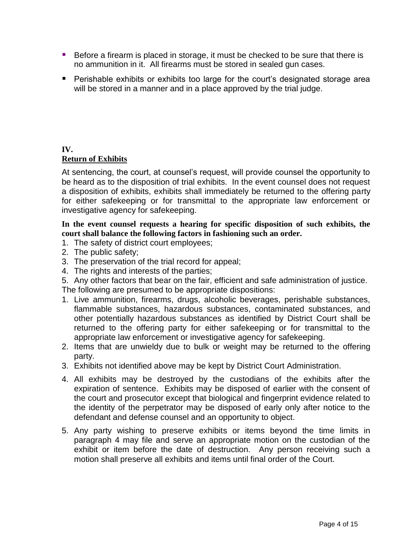- Before a firearm is placed in storage, it must be checked to be sure that there is no ammunition in it. All firearms must be stored in sealed gun cases.
- **Perishable exhibits or exhibits too large for the court's designated storage area** will be stored in a manner and in a place approved by the trial judge.

#### **IV.**

#### **Return of Exhibits**

At sentencing, the court, at counsel's request, will provide counsel the opportunity to be heard as to the disposition of trial exhibits. In the event counsel does not request a disposition of exhibits, exhibits shall immediately be returned to the offering party for either safekeeping or for transmittal to the appropriate law enforcement or investigative agency for safekeeping.

**In the event counsel requests a hearing for specific disposition of such exhibits, the court shall balance the following factors in fashioning such an order.** 

- 1. The safety of district court employees;
- 2. The public safety;
- 3. The preservation of the trial record for appeal;
- 4. The rights and interests of the parties;
- 5. Any other factors that bear on the fair, efficient and safe administration of justice.

The following are presumed to be appropriate dispositions:

- 1. Live ammunition, firearms, drugs, alcoholic beverages, perishable substances, flammable substances, hazardous substances, contaminated substances, and other potentially hazardous substances as identified by District Court shall be returned to the offering party for either safekeeping or for transmittal to the appropriate law enforcement or investigative agency for safekeeping.
- 2. Items that are unwieldy due to bulk or weight may be returned to the offering party.
- 3. Exhibits not identified above may be kept by District Court Administration.
- 4. All exhibits may be destroyed by the custodians of the exhibits after the expiration of sentence. Exhibits may be disposed of earlier with the consent of the court and prosecutor except that biological and fingerprint evidence related to the identity of the perpetrator may be disposed of early only after notice to the defendant and defense counsel and an opportunity to object.
- 5. Any party wishing to preserve exhibits or items beyond the time limits in paragraph 4 may file and serve an appropriate motion on the custodian of the exhibit or item before the date of destruction. Any person receiving such a motion shall preserve all exhibits and items until final order of the Court.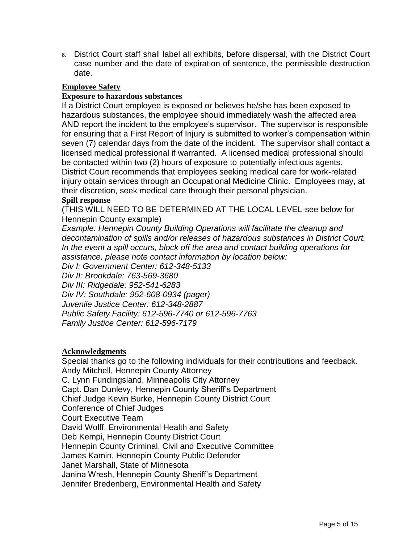6. District Court staff shall label all exhibits, before dispersal, with the District Court case number and the date of expiration of sentence, the permissible destruction date.

#### **Employee Safety**

#### **Exposure to hazardous substances**

If a District Court employee is exposed or believes he/she has been exposed to hazardous substances, the employee should immediately wash the affected area AND report the incident to the employee's supervisor. The supervisor is responsible for ensuring that a First Report of Injury is submitted to worker's compensation within seven (7) calendar days from the date of the incident. The supervisor shall contact a licensed medical professional if warranted. A licensed medical professional should be contacted within two (2) hours of exposure to potentially infectious agents. District Court recommends that employees seeking medical care for work-related injury obtain services through an Occupational Medicine Clinic. Employees may, at their discretion, seek medical care through their personal physician.

#### **Spill response**

(THIS WILL NEED TO BE DETERMINED AT THE LOCAL LEVEL-see below for Hennepin County example)

*Example: Hennepin County Building Operations will facilitate the cleanup and decontamination of spills and/or releases of hazardous substances in District Court. In the event a spill occurs, block off the area and contact building operations for assistance, please note contact information by location below:*

*Div I: Government Center: 612-348-5133*

*Div II: Brookdale: 763-569-3680*

*Div III: Ridgedale: 952-541-6283*

*Div IV: Southdale: 952-608-0934 (pager)*

*Juvenile Justice Center: 612-348-2887*

*Public Safety Facility: 612-596-7740 or 612-596-7763*

*Family Justice Center: 612-596-7179*

#### **Acknowledgments**

Special thanks go to the following individuals for their contributions and feedback. Andy Mitchell, Hennepin County Attorney C. Lynn Fundingsland, Minneapolis City Attorney Capt. Dan Dunlevy, Hennepin County Sheriff's Department Chief Judge Kevin Burke, Hennepin County District Court Conference of Chief Judges Court Executive Team David Wolff, Environmental Health and Safety Deb Kempi, Hennepin County District Court Hennepin County Criminal, Civil and Executive Committee James Kamin, Hennepin County Public Defender Janet Marshall, State of Minnesota Janina Wresh, Hennepin County Sheriff's Department Jennifer Bredenberg, Environmental Health and Safety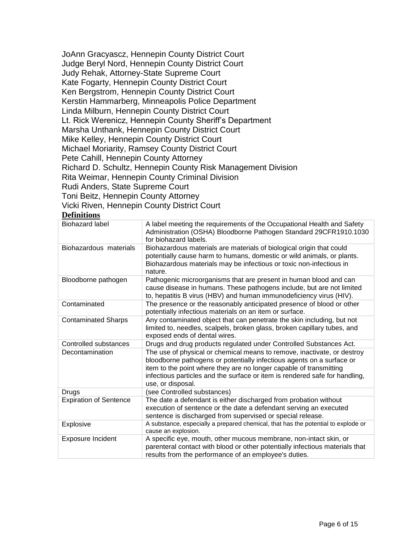JoAnn Gracyascz, Hennepin County District Court Judge Beryl Nord, Hennepin County District Court Judy Rehak, Attorney-State Supreme Court Kate Fogarty, Hennepin County District Court Ken Bergstrom, Hennepin County District Court Kerstin Hammarberg, Minneapolis Police Department Linda Milburn, Hennepin County District Court Lt. Rick Werenicz, Hennepin County Sheriff's Department Marsha Unthank, Hennepin County District Court Mike Kelley, Hennepin County District Court Michael Moriarity, Ramsey County District Court Pete Cahill, Hennepin County Attorney Richard D. Schultz, Hennepin County Risk Management Division Rita Weimar, Hennepin County Criminal Division Rudi Anders, State Supreme Court Toni Beitz, Hennepin County Attorney Vicki Riven, Hennepin County District Court

#### **Definitions**

| <b>Biohazard label</b>        | A label meeting the requirements of the Occupational Health and Safety<br>Administration (OSHA) Bloodborne Pathogen Standard 29CFR1910.1030<br>for biohazard labels.                                                                                                                                                       |
|-------------------------------|----------------------------------------------------------------------------------------------------------------------------------------------------------------------------------------------------------------------------------------------------------------------------------------------------------------------------|
| Biohazardous materials        | Biohazardous materials are materials of biological origin that could<br>potentially cause harm to humans, domestic or wild animals, or plants.<br>Biohazardous materials may be infectious or toxic non-infectious in<br>nature.                                                                                           |
| Bloodborne pathogen           | Pathogenic microorganisms that are present in human blood and can<br>cause disease in humans. These pathogens include, but are not limited<br>to, hepatitis B virus (HBV) and human immunodeficiency virus (HIV).                                                                                                          |
| Contaminated                  | The presence or the reasonably anticipated presence of blood or other<br>potentially infectious materials on an item or surface.                                                                                                                                                                                           |
| <b>Contaminated Sharps</b>    | Any contaminated object that can penetrate the skin including, but not<br>limited to, needles, scalpels, broken glass, broken capillary tubes, and<br>exposed ends of dental wires.                                                                                                                                        |
| Controlled substances         | Drugs and drug products regulated under Controlled Substances Act.                                                                                                                                                                                                                                                         |
| Decontamination               | The use of physical or chemical means to remove, inactivate, or destroy<br>bloodborne pathogens or potentially infectious agents on a surface or<br>item to the point where they are no longer capable of transmitting<br>infectious particles and the surface or item is rendered safe for handling,<br>use, or disposal. |
| Drugs                         | (see Controlled substances)                                                                                                                                                                                                                                                                                                |
| <b>Expiration of Sentence</b> | The date a defendant is either discharged from probation without<br>execution of sentence or the date a defendant serving an executed<br>sentence is discharged from supervised or special release.                                                                                                                        |
| Explosive                     | A substance, especially a prepared chemical, that has the potential to explode or<br>cause an explosion.                                                                                                                                                                                                                   |
| <b>Exposure Incident</b>      | A specific eye, mouth, other mucous membrane, non-intact skin, or<br>parenteral contact with blood or other potentially infectious materials that<br>results from the performance of an employee's duties.                                                                                                                 |
|                               |                                                                                                                                                                                                                                                                                                                            |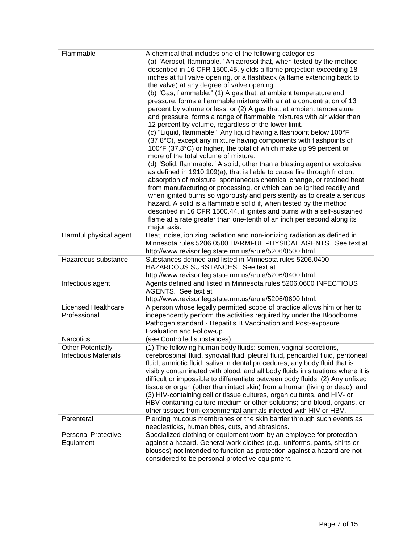| A chemical that includes one of the following categories:<br>(a) "Aerosol, flammable." An aerosol that, when tested by the method<br>described in 16 CFR 1500.45, yields a flame projection exceeding 18                                                                                                                                                                                                                                                                                                                                                                                                                                                                                                        |
|-----------------------------------------------------------------------------------------------------------------------------------------------------------------------------------------------------------------------------------------------------------------------------------------------------------------------------------------------------------------------------------------------------------------------------------------------------------------------------------------------------------------------------------------------------------------------------------------------------------------------------------------------------------------------------------------------------------------|
| inches at full valve opening, or a flashback (a flame extending back to<br>the valve) at any degree of valve opening.<br>(b) "Gas, flammable." (1) A gas that, at ambient temperature and<br>pressure, forms a flammable mixture with air at a concentration of 13<br>percent by volume or less; or (2) A gas that, at ambient temperature                                                                                                                                                                                                                                                                                                                                                                      |
| and pressure, forms a range of flammable mixtures with air wider than<br>12 percent by volume, regardless of the lower limit.<br>(c) "Liquid, flammable." Any liquid having a flashpoint below 100°F<br>(37.8°C), except any mixture having components with flashpoints of                                                                                                                                                                                                                                                                                                                                                                                                                                      |
| 100°F (37.8°C) or higher, the total of which make up 99 percent or<br>more of the total volume of mixture.                                                                                                                                                                                                                                                                                                                                                                                                                                                                                                                                                                                                      |
| (d) "Solid, flammable." A solid, other than a blasting agent or explosive<br>as defined in 1910.109(a), that is liable to cause fire through friction,<br>absorption of moisture, spontaneous chemical change, or retained heat<br>from manufacturing or processing, or which can be ignited readily and<br>when ignited burns so vigorously and persistently as to create a serious<br>hazard. A solid is a flammable solid if, when tested by the method<br>described in 16 CFR 1500.44, it ignites and burns with a self-sustained                                                                                                                                                                           |
| flame at a rate greater than one-tenth of an inch per second along its<br>major axis.                                                                                                                                                                                                                                                                                                                                                                                                                                                                                                                                                                                                                           |
| Heat, noise, ionizing radiation and non-ionizing radiation as defined in<br>Minnesota rules 5206.0500 HARMFUL PHYSICAL AGENTS. See text at<br>http://www.revisor.leg.state.mn.us/arule/5206/0500.html.                                                                                                                                                                                                                                                                                                                                                                                                                                                                                                          |
| Substances defined and listed in Minnesota rules 5206.0400<br>HAZARDOUS SUBSTANCES. See text at<br>http://www.revisor.leg.state.mn.us/arule/5206/0400.html.                                                                                                                                                                                                                                                                                                                                                                                                                                                                                                                                                     |
| Agents defined and listed in Minnesota rules 5206.0600 INFECTIOUS<br>AGENTS. See text at<br>http://www.revisor.leg.state.mn.us/arule/5206/0600.html.                                                                                                                                                                                                                                                                                                                                                                                                                                                                                                                                                            |
| A person whose legally permitted scope of practice allows him or her to<br>independently perform the activities required by under the Bloodborne<br>Pathogen standard - Hepatitis B Vaccination and Post-exposure<br>Evaluation and Follow-up.                                                                                                                                                                                                                                                                                                                                                                                                                                                                  |
| (see Controlled substances)                                                                                                                                                                                                                                                                                                                                                                                                                                                                                                                                                                                                                                                                                     |
| (1) The following human body fluids: semen, vaginal secretions,<br>cerebrospinal fluid, synovial fluid, pleural fluid, pericardial fluid, peritoneal<br>fluid, amniotic fluid, saliva in dental procedures, any body fluid that is<br>visibly contaminated with blood, and all body fluids in situations where it is<br>difficult or impossible to differentiate between body fluids; (2) Any unfixed<br>tissue or organ (other than intact skin) from a human (living or dead); and<br>(3) HIV-containing cell or tissue cultures, organ cultures, and HIV- or<br>HBV-containing culture medium or other solutions; and blood, organs, or<br>other tissues from experimental animals infected with HIV or HBV. |
| Piercing mucous membranes or the skin barrier through such events as<br>needlesticks, human bites, cuts, and abrasions.                                                                                                                                                                                                                                                                                                                                                                                                                                                                                                                                                                                         |
| Specialized clothing or equipment worn by an employee for protection<br>against a hazard. General work clothes (e.g., uniforms, pants, shirts or<br>blouses) not intended to function as protection against a hazard are not<br>considered to be personal protective equipment.                                                                                                                                                                                                                                                                                                                                                                                                                                 |
|                                                                                                                                                                                                                                                                                                                                                                                                                                                                                                                                                                                                                                                                                                                 |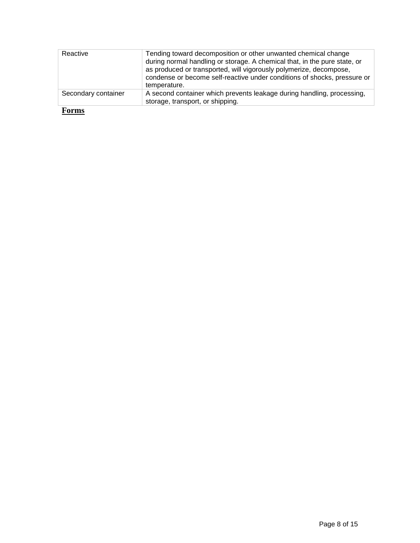| Reactive            | Tending toward decomposition or other unwanted chemical change<br>during normal handling or storage. A chemical that, in the pure state, or<br>as produced or transported, will vigorously polymerize, decompose,<br>condense or become self-reactive under conditions of shocks, pressure or<br>temperature. |  |  |  |
|---------------------|---------------------------------------------------------------------------------------------------------------------------------------------------------------------------------------------------------------------------------------------------------------------------------------------------------------|--|--|--|
| Secondary container | A second container which prevents leakage during handling, processing,<br>storage, transport, or shipping.                                                                                                                                                                                                    |  |  |  |

**Forms**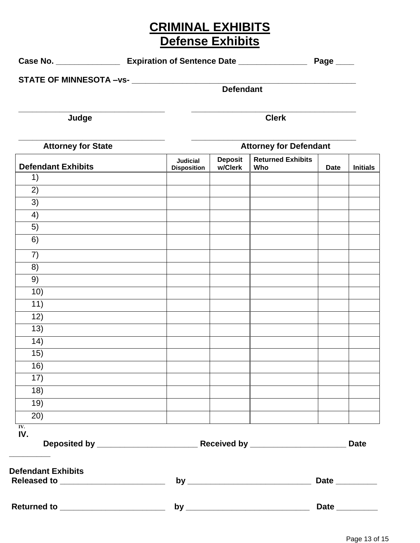### **CRIMINAL EXHIBITS Defense Exhibits**

Case No. \_\_\_\_\_\_\_\_\_\_\_\_\_\_\_\_\_\_\_\_ Expiration of Sentence Date \_\_\_\_\_\_\_\_\_\_\_\_\_\_\_\_\_\_\_\_\_\_ Page \_\_\_\_\_

|                           |                                       | <b>Defendant</b>          |                                 |             |                 |
|---------------------------|---------------------------------------|---------------------------|---------------------------------|-------------|-----------------|
| Judge                     |                                       |                           | <b>Clerk</b>                    |             |                 |
| <b>Attorney for State</b> |                                       |                           | <b>Attorney for Defendant</b>   |             |                 |
| <b>Defendant Exhibits</b> | <b>Judicial</b><br><b>Disposition</b> | <b>Deposit</b><br>w/Clerk | <b>Returned Exhibits</b><br>Who | <b>Date</b> | <b>Initials</b> |
| 1)                        |                                       |                           |                                 |             |                 |
| 2)                        |                                       |                           |                                 |             |                 |
| 3)                        |                                       |                           |                                 |             |                 |
| 4)                        |                                       |                           |                                 |             |                 |
| 5)                        |                                       |                           |                                 |             |                 |
| 6)                        |                                       |                           |                                 |             |                 |
| 7)                        |                                       |                           |                                 |             |                 |
| 8)                        |                                       |                           |                                 |             |                 |
| 9)                        |                                       |                           |                                 |             |                 |
| 10)                       |                                       |                           |                                 |             |                 |
| 11)                       |                                       |                           |                                 |             |                 |
| 12)                       |                                       |                           |                                 |             |                 |
| 13)                       |                                       |                           |                                 |             |                 |
| 14)                       |                                       |                           |                                 |             |                 |
| 15)                       |                                       |                           |                                 |             |                 |
| 16)                       |                                       |                           |                                 |             |                 |
| 17)                       |                                       |                           |                                 |             |                 |
| 18)                       |                                       |                           |                                 |             |                 |
| $\overline{19}$           |                                       |                           |                                 |             |                 |
| $\overline{2}0)$          |                                       |                           |                                 |             |                 |
| IV.<br>IV.                |                                       |                           |                                 |             |                 |
|                           |                                       |                           |                                 |             | Date            |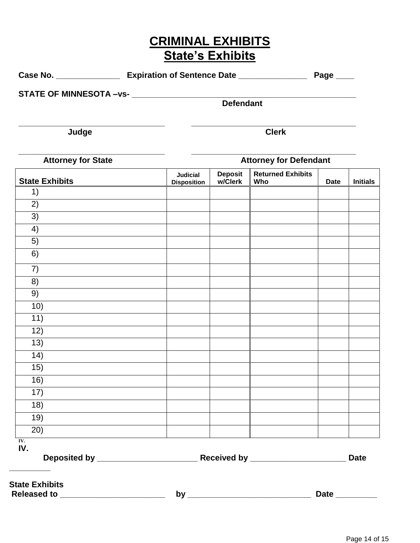## **CRIMINAL EXHIBITS State's Exhibits**

| Case No. | <b>Expiration of Sentence Date</b> | Page |  |
|----------|------------------------------------|------|--|
|----------|------------------------------------|------|--|

**\_\_\_\_\_\_\_\_\_\_\_\_\_\_\_\_\_\_\_\_\_\_\_\_\_\_\_\_\_\_\_\_ \_\_\_\_\_\_\_\_\_\_\_\_\_\_\_\_\_\_\_\_\_\_\_\_\_\_\_\_\_\_\_\_\_\_\_\_**

**STATE OF MINNESOTA –vs- \_\_\_\_\_\_\_\_\_\_\_\_\_\_\_\_\_\_\_\_\_\_\_\_\_\_\_\_\_\_\_\_\_\_\_\_\_\_\_\_\_\_\_\_\_\_\_\_\_**

**Defendant**

**Judge Clerk**

**\_\_\_\_\_\_\_\_\_\_\_\_\_\_\_\_\_\_\_\_\_\_\_\_\_\_\_\_\_\_\_\_ \_\_\_\_\_\_\_\_\_\_\_\_\_\_\_\_\_\_\_\_\_\_\_\_\_\_\_\_\_\_\_\_\_\_\_\_**

| <b>Attorney for State</b> |                                       |                           | <b>Attorney for Defendant</b>   |             |                 |
|---------------------------|---------------------------------------|---------------------------|---------------------------------|-------------|-----------------|
| <b>State Exhibits</b>     | <b>Judicial</b><br><b>Disposition</b> | <b>Deposit</b><br>w/Clerk | <b>Returned Exhibits</b><br>Who | <b>Date</b> | <b>Initials</b> |
| 1)                        |                                       |                           |                                 |             |                 |
| 2)                        |                                       |                           |                                 |             |                 |
| $\overline{3)}$           |                                       |                           |                                 |             |                 |
| 4)                        |                                       |                           |                                 |             |                 |
| 5)                        |                                       |                           |                                 |             |                 |
| $\overline{6)}$           |                                       |                           |                                 |             |                 |
| 7)                        |                                       |                           |                                 |             |                 |
| $\overline{8}$            |                                       |                           |                                 |             |                 |
| 9)                        |                                       |                           |                                 |             |                 |
| 10)                       |                                       |                           |                                 |             |                 |
| $\overline{11}$ )         |                                       |                           |                                 |             |                 |
| 12)                       |                                       |                           |                                 |             |                 |
| $\overline{13)}$          |                                       |                           |                                 |             |                 |
| (14)                      |                                       |                           |                                 |             |                 |
| 15)                       |                                       |                           |                                 |             |                 |
| 16)                       |                                       |                           |                                 |             |                 |
| $\overline{17}$           |                                       |                           |                                 |             |                 |
| 18)                       |                                       |                           |                                 |             |                 |
| 19)                       |                                       |                           |                                 |             |                 |
| (20)                      |                                       |                           |                                 |             |                 |
| IV.<br>IV.                |                                       |                           |                                 |             |                 |
|                           |                                       |                           |                                 |             |                 |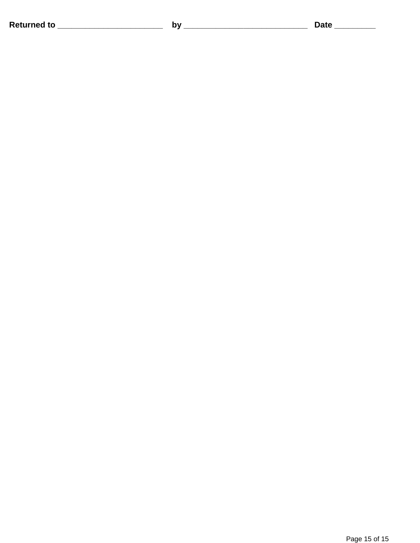**Returned to \_\_\_\_\_\_\_\_\_\_\_\_\_\_\_\_\_\_\_\_\_\_\_ by \_\_\_\_\_\_\_\_\_\_\_\_\_\_\_\_\_\_\_\_\_\_\_\_\_\_\_ Date \_\_\_\_\_\_\_\_\_**